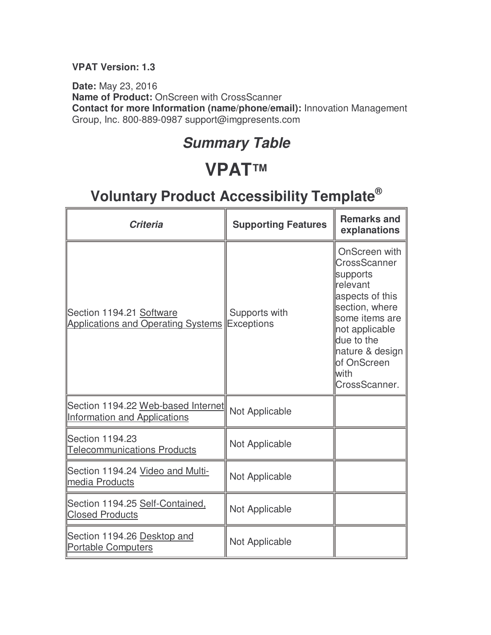#### **VPAT Version: 1.3**

**Date:** May 23, 2016 **Name of Product:** OnScreen with CrossScanner **Contact for more Information (name/phone/email):** Innovation Management Group, Inc. 800-889-0987 support@imgpresents.com

### **Summary Table**

## **VPAT™**

| <b>Criteria</b>                                                           | <b>Supporting Features</b>         | <b>Remarks and</b><br>explanations                                                                                                                                                                       |
|---------------------------------------------------------------------------|------------------------------------|----------------------------------------------------------------------------------------------------------------------------------------------------------------------------------------------------------|
| Section 1194.21 Software<br><b>Applications and Operating Systems</b>     | Supports with<br><b>Exceptions</b> | OnScreen with<br>CrossScanner<br>supports<br>relevant<br>aspects of this<br>section, where<br>some items are<br>not applicable<br>due to the<br>nature & design<br>of OnScreen<br>lwith<br>CrossScanner. |
| Section 1194.22 Web-based Internet<br><b>Information and Applications</b> | Not Applicable                     |                                                                                                                                                                                                          |
| <b>Section 1194.23</b><br><b>Telecommunications Products</b>              | Not Applicable                     |                                                                                                                                                                                                          |
| Section 1194.24 Video and Multi-<br>media Products                        | Not Applicable                     |                                                                                                                                                                                                          |
| Section 1194.25 Self-Contained.<br><b>Closed Products</b>                 | Not Applicable                     |                                                                                                                                                                                                          |
| Section 1194.26 Desktop and<br><b>Portable Computers</b>                  | Not Applicable                     |                                                                                                                                                                                                          |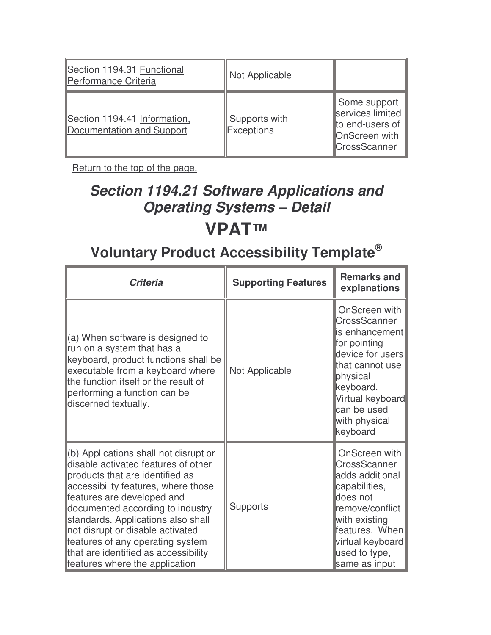| Section 1194.31 Functional<br>Performance Criteria        | Not Applicable                     |                                                                                             |
|-----------------------------------------------------------|------------------------------------|---------------------------------------------------------------------------------------------|
| Section 1194.41 Information.<br>Documentation and Support | Supports with<br><b>Exceptions</b> | Some support<br>services limited<br>to end-users of<br>OnScreen with<br><b>CrossScanner</b> |

## **Section 1194.21 Software Applications and Operating Systems – Detail VPAT™**

| <b>Criteria</b>                                                                                                                                                                                                                                                                                                                                                                                                  | <b>Supporting Features</b> | <b>Remarks and</b><br>explanations                                                                                                                                                              |
|------------------------------------------------------------------------------------------------------------------------------------------------------------------------------------------------------------------------------------------------------------------------------------------------------------------------------------------------------------------------------------------------------------------|----------------------------|-------------------------------------------------------------------------------------------------------------------------------------------------------------------------------------------------|
| $(a)$ When software is designed to<br>run on a system that has a<br>keyboard, product functions shall be<br>executable from a keyboard where<br>the function itself or the result of<br>performing a function can be<br>discerned textually.                                                                                                                                                                     | Not Applicable             | OnScreen with<br>CrossScanner<br>is enhancement<br>for pointing<br>device for users<br>that cannot use<br>physical<br>keyboard.<br>Virtual keyboard<br>can be used<br>with physical<br>keyboard |
| (b) Applications shall not disrupt or<br>disable activated features of other<br>products that are identified as<br>accessibility features, where those<br>features are developed and<br>documented according to industry<br>standards. Applications also shall<br>not disrupt or disable activated<br>features of any operating system<br>that are identified as accessibility<br>features where the application | <b>Supports</b>            | OnScreen with<br>CrossScanner<br>adds additional<br>capabilities,<br>does not<br>remove/conflict<br>with existing<br>features. When<br>virtual keyboard<br>used to type,<br>same as input       |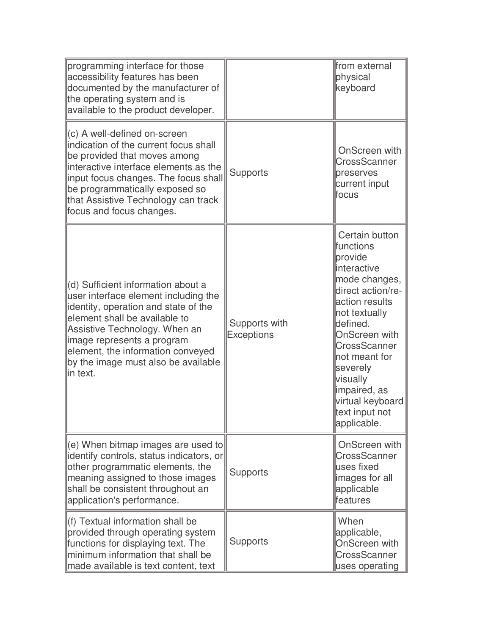| programming interface for those<br>accessibility features has been<br>documented by the manufacturer of<br>the operating system and is<br>available to the product developer.                                                                                                                              |                                    | from external<br>physical<br>keyboard                                                                                                                                                                                                                                                                      |
|------------------------------------------------------------------------------------------------------------------------------------------------------------------------------------------------------------------------------------------------------------------------------------------------------------|------------------------------------|------------------------------------------------------------------------------------------------------------------------------------------------------------------------------------------------------------------------------------------------------------------------------------------------------------|
| (c) A well-defined on-screen<br>indication of the current focus shall<br>be provided that moves among<br>interactive interface elements as the<br>input focus changes. The focus shall<br>be programmatically exposed so<br>that Assistive Technology can track<br>focus and focus changes.                | <b>Supports</b>                    | OnScreen with<br>CrossScanner<br>preserves<br>current input<br>lfocus                                                                                                                                                                                                                                      |
| (d) Sufficient information about a<br>user interface element including the<br>identity, operation and state of the<br>element shall be available to<br>Assistive Technology. When an<br>image represents a program<br>element, the information conveyed<br>by the image must also be available<br>in text. | Supports with<br><b>Exceptions</b> | Certain button<br><b>Ifunctions</b><br>provide<br>linteractive<br>mode changes,<br>direct action/re-<br>action results<br>not textually<br>defined.<br><b>OnScreen with</b><br>CrossScanner<br>not meant for<br>severely<br>visually<br>limpaired, as<br>virtual keyboard<br>text input not<br>applicable. |
| (e) When bitmap images are used to<br>identify controls, status indicators, or<br>other programmatic elements, the<br>meaning assigned to those images<br>shall be consistent throughout an<br>application's performance.                                                                                  | <b>Supports</b>                    | OnScreen with<br>CrossScanner<br>luses fixed<br>limages for all<br>applicable<br><b>features</b>                                                                                                                                                                                                           |
| (f) Textual information shall be<br>provided through operating system<br>functions for displaying text. The<br>minimum information that shall be<br>made available is text content, text                                                                                                                   | <b>Supports</b>                    | When<br>applicable,<br><b>OnScreen with</b><br><b>CrossScanner</b><br>uses operating                                                                                                                                                                                                                       |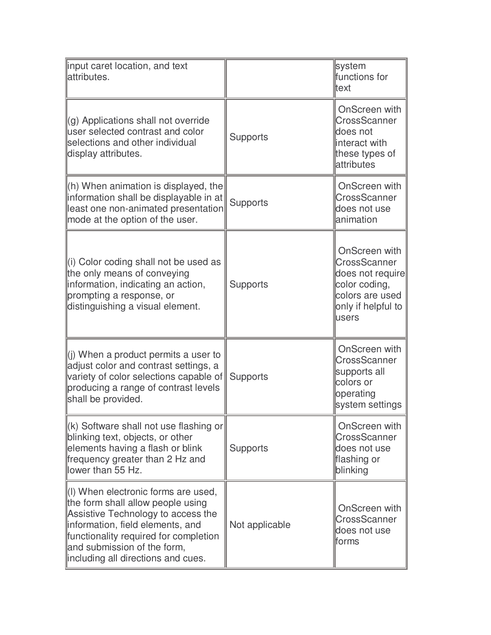| input caret location, and text<br>attributes.                                                                                                                                                                                                                    |                 | system<br>functions for<br>ltext                                                                                     |
|------------------------------------------------------------------------------------------------------------------------------------------------------------------------------------------------------------------------------------------------------------------|-----------------|----------------------------------------------------------------------------------------------------------------------|
| (g) Applications shall not override<br>user selected contrast and color<br>selections and other individual<br>display attributes.                                                                                                                                | <b>Supports</b> | OnScreen with<br>CrossScanner<br>does not<br>linteract with<br>these types of<br>attributes                          |
| (h) When animation is displayed, the<br>information shall be displayable in at<br>least one non-animated presentation<br>mode at the option of the user.                                                                                                         | Supports        | OnScreen with<br>CrossScanner<br>does not use<br>lanimation                                                          |
| (i) Color coding shall not be used as<br>the only means of conveying<br>information, indicating an action,<br>prompting a response, or<br>distinguishing a visual element.                                                                                       | <b>Supports</b> | OnScreen with<br>CrossScanner<br>does not require<br>color coding,<br>colors are used<br>only if helpful to<br>users |
| $(i)$ When a product permits a user to<br>adjust color and contrast settings, a<br>variety of color selections capable of<br>producing a range of contrast levels<br>shall be provided.                                                                          | <b>Supports</b> | OnScreen with<br>CrossScanner<br>supports all<br>colors or<br>operating<br>system settings                           |
| $\left\  \right\ $ (k) Software shall not use flashing or<br>blinking text, objects, or other<br>elements having a flash or blink<br>frequency greater than 2 Hz and<br>lower than 55 Hz.                                                                        | <b>Supports</b> | OnScreen with<br>CrossScanner<br>does not use<br>flashing or<br>blinking                                             |
| (I) When electronic forms are used,<br>the form shall allow people using<br>Assistive Technology to access the<br>information, field elements, and<br>functionality required for completion<br>and submission of the form,<br>including all directions and cues. | Not applicable  | OnScreen with<br>CrossScanner<br>does not use<br>lforms                                                              |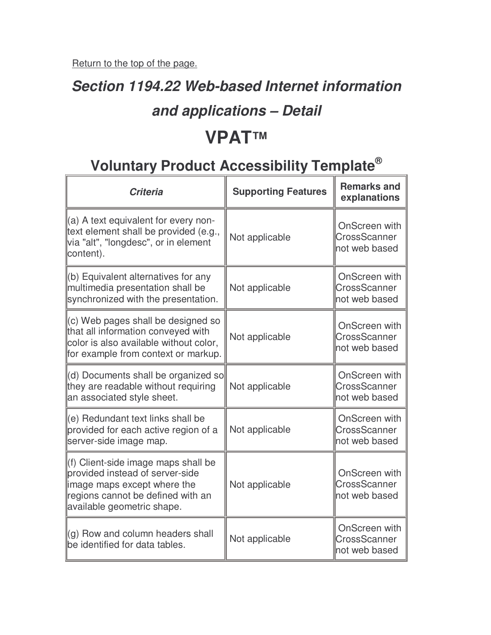$\overline{r}$ 

### **Section 1194.22 Web-based Internet information**

#### **and applications – Detail**

## **VPAT™**

| <b>Criteria</b>                                                                                                                                                           | <b>Supporting Features</b> | <b>Remarks and</b><br>explanations              |
|---------------------------------------------------------------------------------------------------------------------------------------------------------------------------|----------------------------|-------------------------------------------------|
| $\parallel$ (a) A text equivalent for every non-<br>text element shall be provided (e.g.,<br>via "alt", "longdesc", or in element<br>content).                            | Not applicable             | OnScreen with<br>CrossScanner<br>not web based  |
| (b) Equivalent alternatives for any<br>multimedia presentation shall be<br>synchronized with the presentation.                                                            | Not applicable             | OnScreen with<br>CrossScanner<br>not web based  |
| $\parallel$ (c) Web pages shall be designed so<br>that all information conveyed with<br>color is also available without color,<br>for example from context or markup.     | Not applicable             | OnScreen with<br>CrossScanner<br>not web based  |
| (d) Documents shall be organized so<br>they are readable without requiring<br>an associated style sheet.                                                                  | Not applicable             | OnScreen with<br>CrossScanner<br>not web based  |
| (e) Redundant text links shall be<br>provided for each active region of a<br>server-side image map.                                                                       | Not applicable             | OnScreen with<br>CrossScanner<br>not web based  |
| (f) Client-side image maps shall be<br>provided instead of server-side<br>limage maps except where the<br>regions cannot be defined with an<br>available geometric shape. | Not applicable             | OnScreen with<br>CrossScanner<br>Inot web based |
| $\left\vert (q) \right\rangle$ Row and column headers shall<br>be identified for data tables.                                                                             | Not applicable             | OnScreen with<br>CrossScanner<br>not web based  |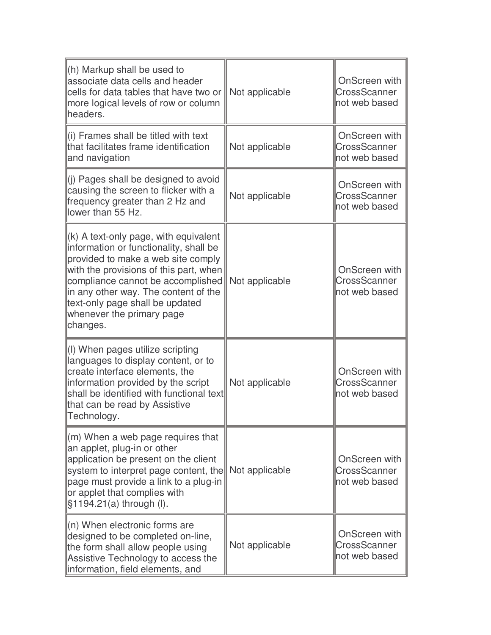| $\ $ (h) Markup shall be used to<br>lassociate data cells and header<br>cells for data tables that have two or<br>more logical levels of row or column<br>headers.                                                                                                                                                               | Not applicable | OnScreen with<br>CrossScanner<br>not web based |
|----------------------------------------------------------------------------------------------------------------------------------------------------------------------------------------------------------------------------------------------------------------------------------------------------------------------------------|----------------|------------------------------------------------|
| (i) Frames shall be titled with text<br>that facilitates frame identification<br>and navigation                                                                                                                                                                                                                                  | Not applicable | OnScreen with<br>CrossScanner<br>not web based |
| (j) Pages shall be designed to avoid<br>causing the screen to flicker with a<br>frequency greater than 2 Hz and<br>lower than 55 Hz.                                                                                                                                                                                             | Not applicable | OnScreen with<br>CrossScanner<br>not web based |
| $\vert$ (k) A text-only page, with equivalent<br>information or functionality, shall be<br>provided to make a web site comply<br>with the provisions of this part, when<br>compliance cannot be accomplished<br>in any other way. The content of the<br>text-only page shall be updated<br>whenever the primary page<br>changes. | Not applicable | OnScreen with<br>CrossScanner<br>not web based |
| (I) When pages utilize scripting<br>languages to display content, or to<br>create interface elements, the<br>information provided by the script<br>shall be identified with functional text<br>that can be read by Assistive<br>Technology.                                                                                      | Not applicable | OnScreen with<br>CrossScanner<br>not web based |
| $\parallel$ (m) When a web page requires that<br>an applet, plug-in or other<br>application be present on the client<br>system to interpret page content, the<br>page must provide a link to a plug-in<br>or applet that complies with<br>§1194.21(a) through (I).                                                               | Not applicable | OnScreen with<br>CrossScanner<br>not web based |
| $\ $ (n) When electronic forms are<br>designed to be completed on-line,<br>the form shall allow people using<br>Assistive Technology to access the<br>information, field elements, and                                                                                                                                           | Not applicable | OnScreen with<br>CrossScanner<br>not web based |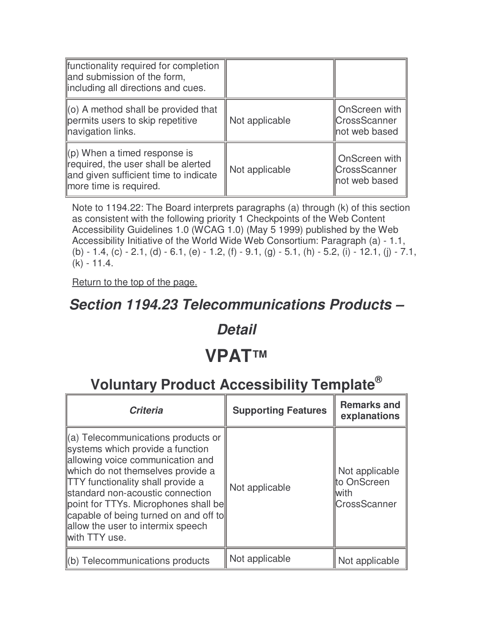| functionality required for completion<br>and submission of the form,<br>lincluding all directions and cues.                                        |                |                                                       |
|----------------------------------------------------------------------------------------------------------------------------------------------------|----------------|-------------------------------------------------------|
| $\parallel$ (o) A method shall be provided that<br>permits users to skip repetitive<br>navigation links.                                           | Not applicable | OnScreen with<br><b>CrossScanner</b><br>not web based |
| $\parallel$ (p) When a timed response is<br>required, the user shall be alerted<br>and given sufficient time to indicate<br>more time is required. | Not applicable | OnScreen with<br><b>CrossScanner</b><br>not web based |

Note to 1194.22: The Board interprets paragraphs (a) through (k) of this section as consistent with the following priority 1 Checkpoints of the Web Content Accessibility Guidelines 1.0 (WCAG 1.0) (May 5 1999) published by the Web Accessibility Initiative of the World Wide Web Consortium: Paragraph (a) - 1.1, (b) - 1.4, (c) - 2.1, (d) - 6.1, (e) - 1.2, (f) - 9.1, (g) - 5.1, (h) - 5.2, (i) - 12.1, (j) - 7.1, (k) - 11.4.

Return to the top of the page.

#### **Section 1194.23 Telecommunications Products –**

#### **Detail**

#### **VPAT™**

| <b>Criteria</b>                                                                                                                                                                                                                                                                                                                                                        | <b>Supporting Features</b> | <b>Remarks and</b><br>explanations                            |
|------------------------------------------------------------------------------------------------------------------------------------------------------------------------------------------------------------------------------------------------------------------------------------------------------------------------------------------------------------------------|----------------------------|---------------------------------------------------------------|
| (a) Telecommunications products or<br>systems which provide a function<br>allowing voice communication and<br>which do not themselves provide a<br><b>TTY</b> functionality shall provide a<br>standard non-acoustic connection<br>point for TTYs. Microphones shall be<br>capable of being turned on and off to<br>allow the user to intermix speech<br>with TTY use. | Not applicable             | Not applicable<br>to OnScreen<br>lwith<br><b>CrossScanner</b> |
| (b) Telecommunications products                                                                                                                                                                                                                                                                                                                                        | Not applicable             | Not applicable                                                |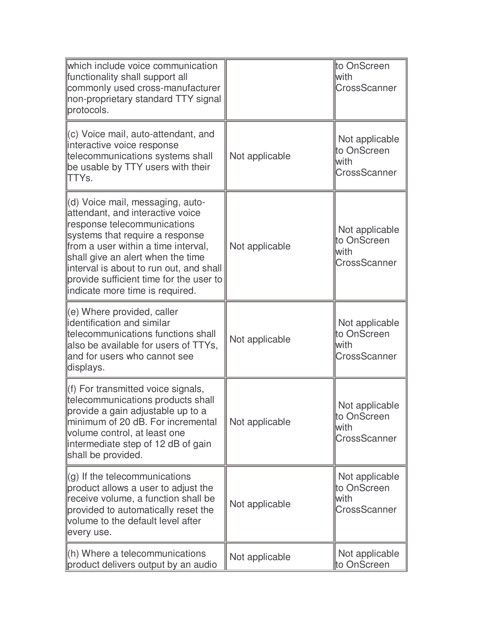| which include voice communication<br>functionality shall support all<br>commonly used cross-manufacturer<br>non-proprietary standard TTY signal<br>protocols.                                                                                                                                                                               |                | to OnScreen<br>lwith<br>CrossScanner                          |
|---------------------------------------------------------------------------------------------------------------------------------------------------------------------------------------------------------------------------------------------------------------------------------------------------------------------------------------------|----------------|---------------------------------------------------------------|
| (c) Voice mail, auto-attendant, and<br>interactive voice response<br>telecommunications systems shall<br>be usable by TTY users with their<br>TTYs.                                                                                                                                                                                         | Not applicable | Not applicable<br>to OnScreen<br>lwith<br>CrossScanner        |
| (d) Voice mail, messaging, auto-<br>attendant, and interactive voice<br>response telecommunications<br>systems that require a response<br>from a user within a time interval,<br>shall give an alert when the time<br>interval is about to run out, and shall<br>provide sufficient time for the user to<br>indicate more time is required. | Not applicable | Not applicable<br>to OnScreen<br>lwith<br>CrossScanner        |
| $(e)$ Where provided, caller<br>identification and similar<br>telecommunications functions shall<br>also be available for users of TTYs,<br>and for users who cannot see<br>displays.                                                                                                                                                       | Not applicable | Not applicable<br>to OnScreen<br>lwith<br><b>CrossScanner</b> |
| $(1)$ For transmitted voice signals,<br>telecommunications products shall<br>provide a gain adjustable up to a<br>minimum of 20 dB. For incremental<br>volume control, at least one<br>intermediate step of 12 dB of gain<br>shall be provided.                                                                                             | Not applicable | Not applicable<br>to OnScreen<br>lwith<br>CrossScanner        |
| $\left  \right\rangle$ of the telecommunications<br>product allows a user to adjust the<br>receive volume, a function shall be<br>provided to automatically reset the<br>volume to the default level after<br>every use.                                                                                                                    | Not applicable | Not applicable<br>to OnScreen<br>lwith<br>CrossScanner        |
| $\ $ (h) Where a telecommunications<br>product delivers output by an audio                                                                                                                                                                                                                                                                  | Not applicable | Not applicable<br>to OnScreen                                 |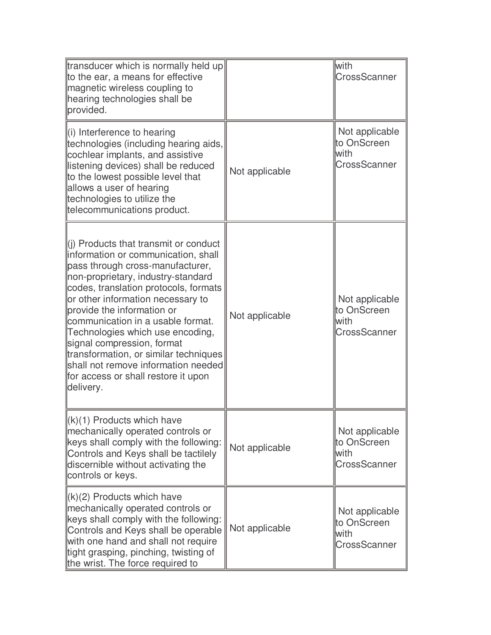| transducer which is normally held up<br>to the ear, a means for effective<br>magnetic wireless coupling to<br>hearing technologies shall be<br>provided.                                                                                                                                                                                                                                                                                                                                                                  |                | lwith<br>CrossScanner                                         |
|---------------------------------------------------------------------------------------------------------------------------------------------------------------------------------------------------------------------------------------------------------------------------------------------------------------------------------------------------------------------------------------------------------------------------------------------------------------------------------------------------------------------------|----------------|---------------------------------------------------------------|
| $\parallel$ (i) Interference to hearing<br>technologies (including hearing aids,<br>cochlear implants, and assistive<br>listening devices) shall be reduced<br>to the lowest possible level that<br>allows a user of hearing<br>technologies to utilize the<br>telecommunications product.                                                                                                                                                                                                                                | Not applicable | Not applicable<br>to OnScreen<br>lwith<br>CrossScanner        |
| $\parallel$ (i) Products that transmit or conduct<br>information or communication, shall<br>pass through cross-manufacturer,<br>non-proprietary, industry-standard<br>codes, translation protocols, formats<br>or other information necessary to<br>provide the information or<br>communication in a usable format.<br>Technologies which use encoding,<br>signal compression, format<br>transformation, or similar techniques<br>shall not remove information needed<br>for access or shall restore it upon<br>delivery. | Not applicable | Not applicable<br>to OnScreen<br>lwith<br>CrossScanner        |
| $\ $ (k)(1) Products which have<br>mechanically operated controls or<br>keys shall comply with the following:<br>Controls and Keys shall be tactilely<br>discernible without activating the<br>controls or keys.                                                                                                                                                                                                                                                                                                          | Not applicable | Not applicable<br>to OnScreen<br>lwith<br>CrossScanner        |
| $\ (k)(2)$ Products which have<br>mechanically operated controls or<br>keys shall comply with the following:<br>Controls and Keys shall be operable<br>with one hand and shall not require<br>tight grasping, pinching, twisting of<br>the wrist. The force required to                                                                                                                                                                                                                                                   | Not applicable | Not applicable<br>to OnScreen<br>lwith<br><b>CrossScanner</b> |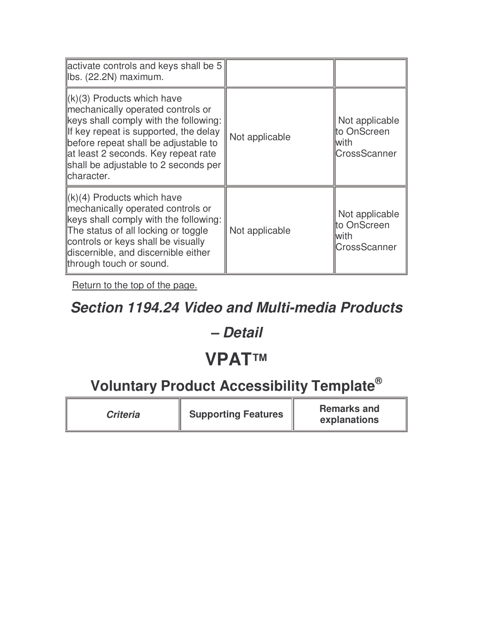| activate controls and keys shall be 5<br>Ibs. (22.2N) maximum.                                                                                                                                                                                                                               |                |                                                        |
|----------------------------------------------------------------------------------------------------------------------------------------------------------------------------------------------------------------------------------------------------------------------------------------------|----------------|--------------------------------------------------------|
| $\ $ (k)(3) Products which have<br>mechanically operated controls or<br>keys shall comply with the following:<br>If key repeat is supported, the delay<br>before repeat shall be adjustable to<br>at least 2 seconds. Key repeat rate<br>shall be adjustable to 2 seconds per<br>lcharacter. | Not applicable | Not applicable<br>to OnScreen<br>lwith<br>CrossScanner |
| $\ (k)(4)$ Products which have<br>mechanically operated controls or<br>keys shall comply with the following:<br>The status of all locking or toggle<br>controls or keys shall be visually<br>discernible, and discernible either<br>through touch or sound.                                  | Not applicable | Not applicable<br>to OnScreen<br>lwith<br>CrossScanner |

## **Section 1194.24 Video and Multi-media Products**

#### **– Detail**

## **VPAT™**

| <b>Criteria</b> | <b>Supporting Features</b> | <b>Remarks and</b><br>explanations |
|-----------------|----------------------------|------------------------------------|
|-----------------|----------------------------|------------------------------------|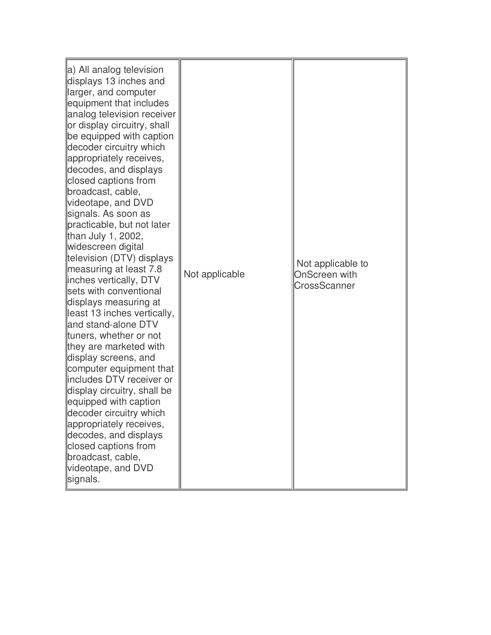| a) All analog television<br>displays 13 inches and<br>larger, and computer<br>equipment that includes<br>analog television receiver<br>or display circuitry, shall<br>be equipped with caption<br>decoder circuitry which<br>appropriately receives,<br>decodes, and displays<br>closed captions from<br>broadcast, cable,<br>videotape, and DVD<br>signals. As soon as<br>practicable, but not later<br>than July 1, 2002,<br>widescreen digital<br>television (DTV) displays<br>measuring at least 7.8<br>inches vertically, DTV<br>sets with conventional<br>displays measuring at<br>least 13 inches vertically,<br>and stand-alone DTV<br>tuners, whether or not<br>they are marketed with<br>display screens, and<br>computer equipment that<br>includes DTV receiver or<br>display circuitry, shall be<br>equipped with caption<br>decoder circuitry which<br>appropriately receives,<br>decodes, and displays<br>closed captions from<br>broadcast, cable,<br>videotape, and DVD<br>signals. | Not applicable | Not applicable to<br>OnScreen with<br>CrossScanner |
|------------------------------------------------------------------------------------------------------------------------------------------------------------------------------------------------------------------------------------------------------------------------------------------------------------------------------------------------------------------------------------------------------------------------------------------------------------------------------------------------------------------------------------------------------------------------------------------------------------------------------------------------------------------------------------------------------------------------------------------------------------------------------------------------------------------------------------------------------------------------------------------------------------------------------------------------------------------------------------------------------|----------------|----------------------------------------------------|
|------------------------------------------------------------------------------------------------------------------------------------------------------------------------------------------------------------------------------------------------------------------------------------------------------------------------------------------------------------------------------------------------------------------------------------------------------------------------------------------------------------------------------------------------------------------------------------------------------------------------------------------------------------------------------------------------------------------------------------------------------------------------------------------------------------------------------------------------------------------------------------------------------------------------------------------------------------------------------------------------------|----------------|----------------------------------------------------|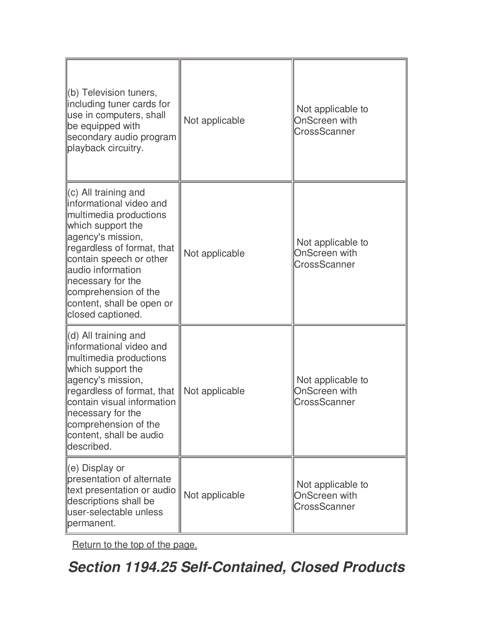| (b) Television tuners,<br>including tuner cards for<br>use in computers, shall<br>be equipped with<br>secondary audio program<br>playback circuitry.                                                                                                                                               | Not applicable | Not applicable to<br>OnScreen with<br>CrossScanner        |
|----------------------------------------------------------------------------------------------------------------------------------------------------------------------------------------------------------------------------------------------------------------------------------------------------|----------------|-----------------------------------------------------------|
| $(c)$ All training and<br>informational video and<br>multimedia productions<br>which support the<br>agency's mission,<br>regardless of format, that<br>contain speech or other<br>audio information<br>necessary for the<br>comprehension of the<br>content, shall be open or<br>closed captioned. | Not applicable | Not applicable to<br>OnScreen with<br>CrossScanner        |
| (d) All training and<br>informational video and<br>multimedia productions<br>which support the<br>agency's mission,<br>regardless of format, that<br>contain visual information<br>necessary for the<br>comprehension of the<br>content, shall be audio<br>described.                              | Not applicable | Not applicable to<br><b>OnScreen with</b><br>CrossScanner |
| (e) Display or<br>presentation of alternate<br>text presentation or audio<br>descriptions shall be<br>user-selectable unless<br>permanent.                                                                                                                                                         | Not applicable | Not applicable to<br><b>OnScreen with</b><br>CrossScanner |

**Section 1194.25 Self-Contained, Closed Products**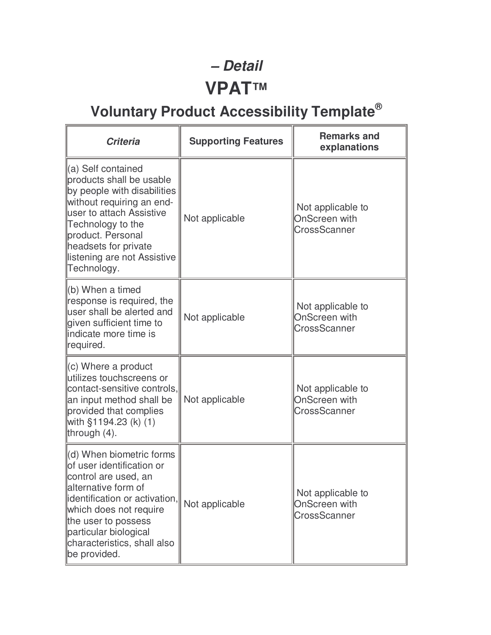## **– Detail VPAT™**

| <b>Criteria</b>                                                                                                                                                                                                                                                 | <b>Supporting Features</b> | <b>Remarks and</b><br>explanations                               |
|-----------------------------------------------------------------------------------------------------------------------------------------------------------------------------------------------------------------------------------------------------------------|----------------------------|------------------------------------------------------------------|
| (a) Self contained<br>products shall be usable<br>by people with disabilities<br>without requiring an end-<br>luser to attach Assistive<br>Technology to the<br>product. Personal<br>headsets for private<br>listening are not Assistive<br>Technology.         | Not applicable             | Not applicable to<br><b>OnScreen with</b><br>CrossScanner        |
| $(6)$ When a timed<br>response is required, the<br>user shall be alerted and<br>given sufficient time to<br>indicate more time is<br>required.                                                                                                                  | Not applicable             | Not applicable to<br><b>OnScreen with</b><br>CrossScanner        |
| $\left\vert (c)$ Where a product<br>utilizes touchscreens or<br>contact-sensitive controls,<br>an input method shall be<br>provided that complies<br>with §1194.23 (k) (1)<br>through $(4)$ .                                                                   | Not applicable             | Not applicable to<br><b>OnScreen with</b><br><b>CrossScanner</b> |
| (d) When biometric forms<br>of user identification or<br>control are used, an<br>alternative form of<br>lidentification or activation,<br>which does not require<br>the user to possess<br>particular biological<br>characteristics, shall also<br>be provided. | Not applicable             | Not applicable to<br><b>OnScreen with</b><br><b>CrossScanner</b> |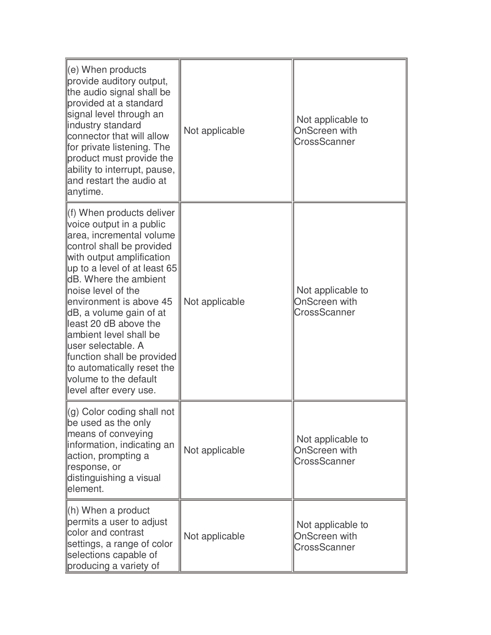| (e) When products<br>provide auditory output,<br>the audio signal shall be<br>provided at a standard<br>signal level through an<br>industry standard<br>connector that will allow<br>for private listening. The<br>product must provide the<br>ability to interrupt, pause,<br>and restart the audio at<br>anytime.                                                                                                                                                              | Not applicable | Not applicable to<br>OnScreen with<br>CrossScanner               |
|----------------------------------------------------------------------------------------------------------------------------------------------------------------------------------------------------------------------------------------------------------------------------------------------------------------------------------------------------------------------------------------------------------------------------------------------------------------------------------|----------------|------------------------------------------------------------------|
| f) When products deliver<br>voice output in a public<br>area, incremental volume<br>control shall be provided<br>with output amplification<br>up to a level of at least 65<br><b>dB.</b> Where the ambient<br>noise level of the<br>environment is above 45<br>dB, a volume gain of at<br>least 20 dB above the<br>lambient level shall be<br>luser selectable. A<br>function shall be provided<br>to automatically reset the<br>volume to the default<br>level after every use. | Not applicable | Not applicable to<br><b>OnScreen with</b><br>CrossScanner        |
| (g) Color coding shall not<br>be used as the only<br>means of conveying<br>information, indicating an<br>action, prompting a<br>response, or<br>distinguishing a visual<br>element.                                                                                                                                                                                                                                                                                              | Not applicable | Not applicable to<br><b>OnScreen with</b><br><b>CrossScanner</b> |
| $(h)$ When a product<br>permits a user to adjust<br>color and contrast<br>settings, a range of color<br>selections capable of<br>producing a variety of                                                                                                                                                                                                                                                                                                                          | Not applicable | Not applicable to<br><b>OnScreen with</b><br>CrossScanner        |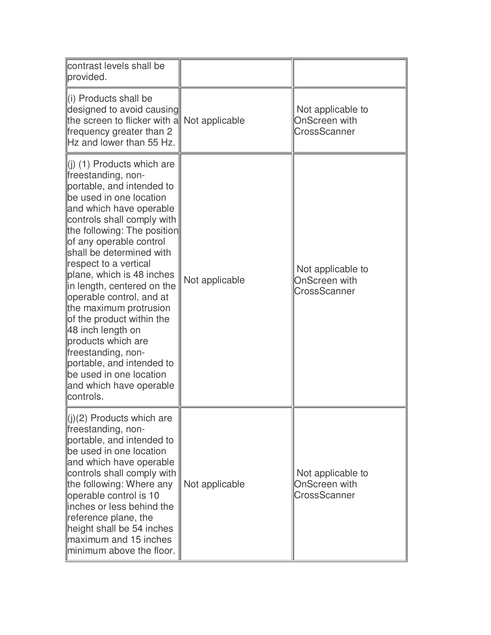| contrast levels shall be<br>provided.                                                                                                                                                                                                                                                                                                                                                                                                                                                                                                                                                                       |                |                                                    |
|-------------------------------------------------------------------------------------------------------------------------------------------------------------------------------------------------------------------------------------------------------------------------------------------------------------------------------------------------------------------------------------------------------------------------------------------------------------------------------------------------------------------------------------------------------------------------------------------------------------|----------------|----------------------------------------------------|
| li) Products shall be<br>designed to avoid causing<br>the screen to flicker with a<br>frequency greater than 2<br>Hz and lower than 55 Hz.                                                                                                                                                                                                                                                                                                                                                                                                                                                                  | Not applicable | Not applicable to<br>OnScreen with<br>CrossScanner |
| $\parallel$ (i) (1) Products which are<br>freestanding, non-<br>portable, and intended to<br>be used in one location<br>and which have operable<br>controls shall comply with<br>the following: The position<br>of any operable control<br>shall be determined with<br>respect to a vertical<br>plane, which is 48 inches<br>in length, centered on the<br>operable control, and at<br>the maximum protrusion<br>of the product within the<br>48 inch length on<br>products which are<br>freestanding, non-<br>portable, and intended to<br>be used in one location<br>and which have operable<br>controls. | Not applicable | Not applicable to<br>OnScreen with<br>CrossScanner |
| $(i)(2)$ Products which are<br>freestanding, non-<br>portable, and intended to<br>be used in one location<br>and which have operable<br>controls shall comply with<br>the following: Where any<br>operable control is 10<br>linches or less behind the<br>reference plane, the<br>height shall be 54 inches<br>maximum and 15 inches<br>minimum above the floor.                                                                                                                                                                                                                                            | Not applicable | Not applicable to<br>OnScreen with<br>CrossScanner |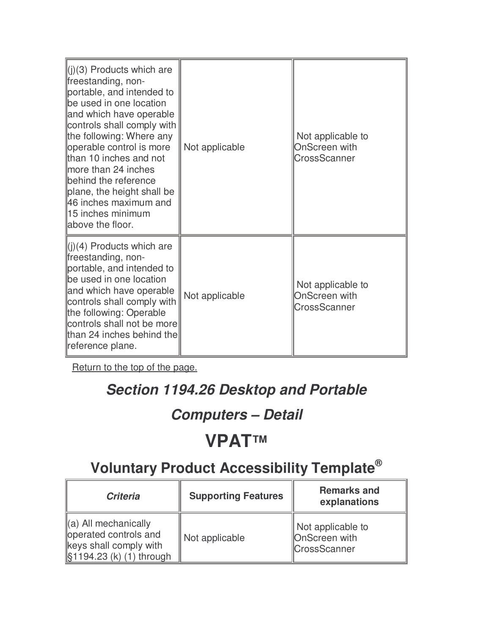| $\ $ (j)(3) Products which are<br>freestanding, non-<br>portable, and intended to<br>be used in one location<br>and which have operable<br>controls shall comply with<br>the following: Where any<br>operable control is more<br>than 10 inches and not<br>more than 24 inches<br>behind the reference<br>plane, the height shall be<br>46 inches maximum and<br>15 inches minimum<br>above the floor. | Not applicable | Not applicable to<br><b>OnScreen with</b><br>CrossScanner |
|--------------------------------------------------------------------------------------------------------------------------------------------------------------------------------------------------------------------------------------------------------------------------------------------------------------------------------------------------------------------------------------------------------|----------------|-----------------------------------------------------------|
| $\ $ (j)(4) Products which are<br>freestanding, non-<br>portable, and intended to<br>be used in one location<br>and which have operable<br>controls shall comply with<br>the following: Operable<br>controls shall not be more<br>than 24 inches behind the<br>∥reference plane.                                                                                                                       | Not applicable | Not applicable to<br>OnScreen with<br><b>CrossScanner</b> |

### **Section 1194.26 Desktop and Portable**

## **Computers – Detail**

## **VPAT™**

| <b>Criteria</b>                                                                                                  | <b>Supporting Features</b> | <b>Remarks and</b><br>explanations                               |
|------------------------------------------------------------------------------------------------------------------|----------------------------|------------------------------------------------------------------|
| $\parallel$ (a) All mechanically<br>operated controls and<br>keys shall comply with<br>\$1194.23 (k) (1) through | Not applicable             | Not applicable to<br><b>OnScreen</b> with<br><b>CrossScanner</b> |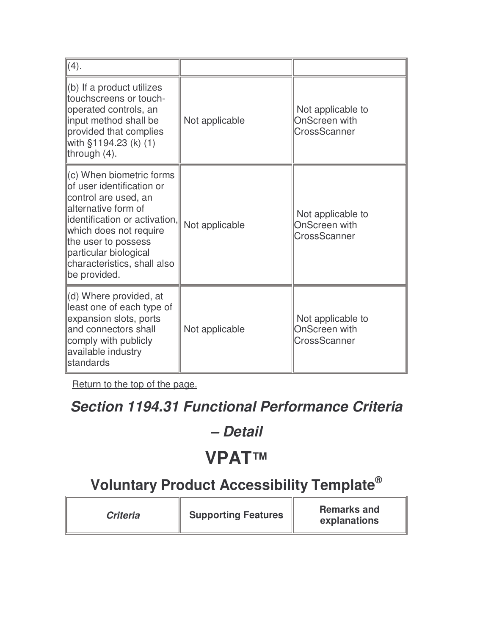| (4).                                                                                                                                                                                                                                                                         |                |                                                           |
|------------------------------------------------------------------------------------------------------------------------------------------------------------------------------------------------------------------------------------------------------------------------------|----------------|-----------------------------------------------------------|
| (b) If a product utilizes<br>touchscreens or touch-<br>operated controls, an<br>input method shall be<br>provided that complies<br>with §1194.23 (k) (1)<br>through (4).                                                                                                     | Not applicable | Not applicable to<br>OnScreen with<br>CrossScanner        |
| $\parallel$ (c) When biometric forms<br>of user identification or<br>control are used, an<br>lalternative form of<br>lidentification or activation,<br>which does not require<br>the user to possess<br>particular biological<br>characteristics, shall also<br>be provided. | Not applicable | Not applicable to<br>OnScreen with<br>CrossScanner        |
| (d) Where provided, at<br>least one of each type of<br>expansion slots, ports<br>and connectors shall<br>comply with publicly<br>available industry<br>standards                                                                                                             | Not applicable | Not applicable to<br><b>OnScreen with</b><br>CrossScanner |

## **Section 1194.31 Functional Performance Criteria**

#### **– Detail**

## **VPAT™**

| <b>Criteria</b> | <b>Supporting Features</b> | <b>Remarks and</b><br>explanations |
|-----------------|----------------------------|------------------------------------|
|-----------------|----------------------------|------------------------------------|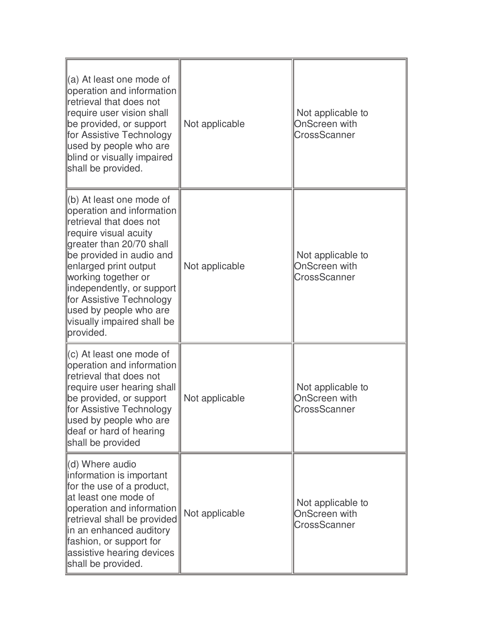| $\parallel$ (a) At least one mode of<br>operation and information<br>retrieval that does not<br>require user vision shall<br>be provided, or support<br>for Assistive Technology<br>used by people who are<br>blind or visually impaired<br>shall be provided.                                                                                   | Not applicable | Not applicable to<br><b>OnScreen</b> with<br>CrossScanner |
|--------------------------------------------------------------------------------------------------------------------------------------------------------------------------------------------------------------------------------------------------------------------------------------------------------------------------------------------------|----------------|-----------------------------------------------------------|
| ∥(b) At least one mode of<br>operation and information<br>retrieval that does not<br>require visual acuity<br>greater than 20/70 shall<br>be provided in audio and<br>enlarged print output<br>working together or<br>independently, or support<br>for Assistive Technology<br>used by people who are<br>visually impaired shall be<br>provided. | Not applicable | Not applicable to<br><b>OnScreen with</b><br>CrossScanner |
| $\parallel$ (c) At least one mode of<br>operation and information<br>retrieval that does not<br>require user hearing shall<br>be provided, or support<br>for Assistive Technology<br>used by people who are<br>deaf or hard of hearing<br>shall be provided                                                                                      | Not applicable | Not applicable to<br>OnScreen with<br>CrossScanner        |
| (d) Where audio<br>information is important<br>for the use of a product,<br>llat least one mode of<br>operation and information<br>retrieval shall be provided<br>in an enhanced auditory<br>fashion, or support for<br>assistive hearing devices<br>shall be provided.                                                                          | Not applicable | Not applicable to<br><b>OnScreen with</b><br>CrossScanner |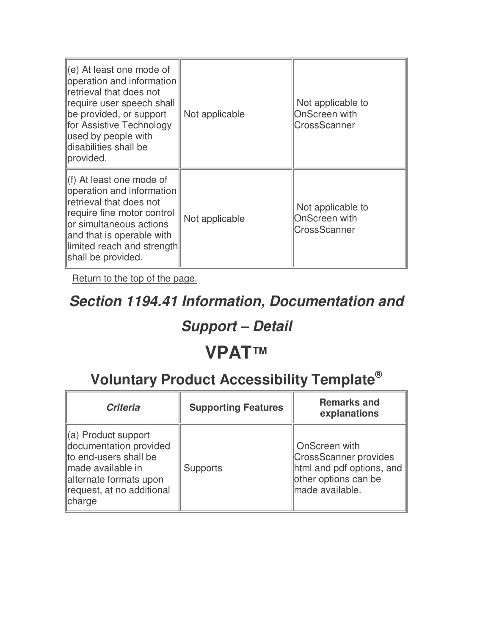| (e) At least one mode of<br>operation and information<br>retrieval that does not<br>require user speech shall<br>be provided, or support<br>for Assistive Technology<br>used by people with<br>disabilities shall be<br>provided.        | Not applicable | Not applicable to<br>OnScreen with<br>CrossScanner |
|------------------------------------------------------------------------------------------------------------------------------------------------------------------------------------------------------------------------------------------|----------------|----------------------------------------------------|
| $\parallel$ (f) At least one mode of<br>operation and information<br>retrieval that does not<br>require fine motor control<br>llor simultaneous actions<br>and that is operable with<br>limited reach and strength<br>shall be provided. | Not applicable | Not applicable to<br>OnScreen with<br>CrossScanner |

#### **Section 1194.41 Information, Documentation and**

### **Support – Detail**

### **VPAT™**

| <b>Criteria</b>                                                                                                                                                       | <b>Supporting Features</b> | <b>Remarks and</b><br>explanations                                                                                    |
|-----------------------------------------------------------------------------------------------------------------------------------------------------------------------|----------------------------|-----------------------------------------------------------------------------------------------------------------------|
| $(a)$ Product support<br>documentation provided<br>to end-users shall be<br>made available in<br>alternate formats upon<br>request, at no additional<br><b>Charge</b> | <b>Supports</b>            | <b>OnScreen with</b><br>CrossScanner provides<br>html and pdf options, and<br>other options can be<br>made available. |